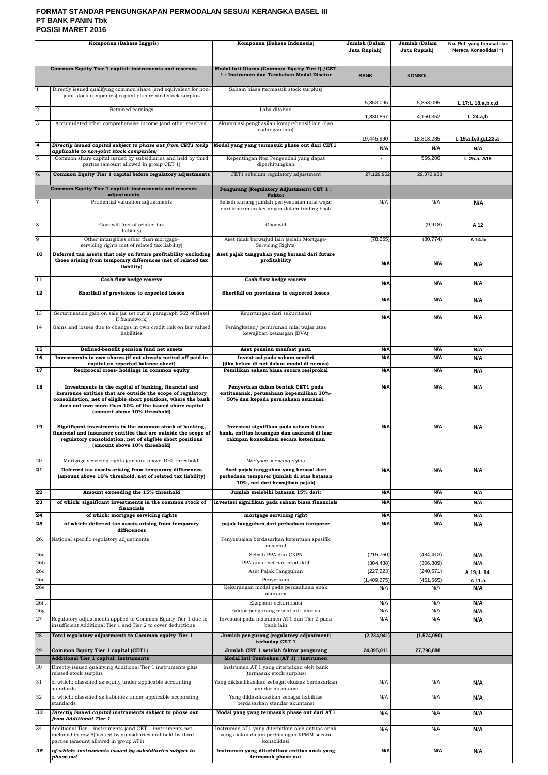## **FORMAT STANDAR PENGUNGKAPAN PERMODALAN SESUAI KERANGKA BASEL III PT BANK PANIN Tbk POSISI MARET 2016**

| Komponen (Bahasa Inggris)          |                                                                                                                                                                                                                         | Komponen (Bahasa Indonesia)                                                                                                                         | Jumlah (Dalam<br>Juta Rupiah) | Jumlah (Dalam<br>Juta Rupiah) | No. Ref. yang berasal dari<br>Neraca Konsolidasi*) |
|------------------------------------|-------------------------------------------------------------------------------------------------------------------------------------------------------------------------------------------------------------------------|-----------------------------------------------------------------------------------------------------------------------------------------------------|-------------------------------|-------------------------------|----------------------------------------------------|
|                                    | Common Equity Tier 1 capital: instruments and reserves                                                                                                                                                                  | Modal Inti Utama (Common Equity Tier I) / CET<br>1: Instrumen dan Tambahan Modal Disetor                                                            | <b>BANK</b>                   | <b>KONSOL</b>                 |                                                    |
|                                    | Directly issued qualifying common share (and equivalent for non-<br>joint stock companies) capital plus related stock surplus                                                                                           | Saham biasa (termasuk stock surplus)                                                                                                                |                               |                               |                                                    |
| $\overline{2}$                     | Retained earnings                                                                                                                                                                                                       | Laba ditahan                                                                                                                                        | 5,853,095                     | 5,853,095                     | L 17:L 18.a,b,c,d                                  |
| 3                                  | Accumulated other comprehensive income (and other reserves)                                                                                                                                                             | Akumulasi penghasilan komprehensif lain (dan                                                                                                        | 1,830,867                     | 4,150,352                     | $L$ 24.a,b                                         |
|                                    |                                                                                                                                                                                                                         | cadangan lain)                                                                                                                                      |                               |                               |                                                    |
| 4                                  | Directly issued capital subject to phase out from CET1 (only                                                                                                                                                            | Modal yang yang termasuk phase out dari CET1                                                                                                        | 19,445,990<br>N/A             | 18,813,285<br>N/A             | L 19.a, b, d, g, L 23.a<br>N/A                     |
| 5                                  | applicable to non-joint stock companies)<br>Common share capital issued by subsidiaries and held by third<br>parties (amount allowed in group CET 1)                                                                    | Kepentingan Non Pengendali yang dapat                                                                                                               | $\sim$                        | 556,206                       | L 25.a, A19                                        |
| 6.                                 | Common Equity Tier 1 capital before regulatory adjustments                                                                                                                                                              | diperhitungkan<br>CET1 sebelum regulatory adjustment                                                                                                | 27,129,952                    | 29,372,938                    |                                                    |
|                                    | Common Equity Tier 1 capital: instruments and reserves                                                                                                                                                                  | Pengurang (Regulatory Adjustment) CET 1:                                                                                                            |                               |                               |                                                    |
| 17                                 | adjustments<br>Prudential valuation adjustments                                                                                                                                                                         | <b>Faktor</b><br>Selisih kurang jumlah penyesuaian nilai wajar                                                                                      | N/A                           | N/A                           | N/A                                                |
|                                    |                                                                                                                                                                                                                         | dari instrumen keuangan dalam trading book                                                                                                          |                               |                               |                                                    |
| $\overline{8}$                     | Goodwill (net of related tax                                                                                                                                                                                            | Goodwill                                                                                                                                            | $\sim$                        | (9,918)                       | A 12                                               |
| 9                                  | liability)<br>Other intangibles other than mortgage-                                                                                                                                                                    | Aset tidak berwujud lain (selain Mortgage-                                                                                                          | (78, 255)                     | (80, 774)                     | A 14.b                                             |
| 10                                 | servicing rights (net of related tax liability)<br>Deferred tax assets that rely on future profitability excluding                                                                                                      | Servicing Rights)<br>Aset pajak tangguhan yang berasal dari future                                                                                  |                               |                               |                                                    |
|                                    | those arising from temporary differences (net of related tax<br>liability)                                                                                                                                              | profitability                                                                                                                                       | N/A                           | N/A                           | N/A                                                |
| $\overline{11}$                    | Cash-flow hedge reserve                                                                                                                                                                                                 | Cash-flow hedge reserve                                                                                                                             | N/A                           | N/A                           | N/A                                                |
| 12                                 | Shortfall of provisions to expected losses                                                                                                                                                                              | Shortfall on provisions to expected losses                                                                                                          | N/A                           | N/A                           | N/A                                                |
| 13                                 | Securitisation gain on sale (as set out in paragraph 562 of Basel                                                                                                                                                       | Keuntungan dari sekuritisasi                                                                                                                        |                               |                               |                                                    |
| 14                                 | II framework)<br>Gains and losses due to changes in own credit risk on fair valued                                                                                                                                      | Peningkatan/ penurunan nilai wajar atas                                                                                                             | N/A<br>$\blacksquare$         | N/A                           | N/A                                                |
|                                    | liabilities                                                                                                                                                                                                             | kewajiban keuangan (DVA)                                                                                                                            |                               |                               |                                                    |
| $\overline{15}$<br>$\overline{16}$ | Defined-benefit pension fund net assets<br>Investments in own shares (if not already netted off paid-in                                                                                                                 | Aset pensiun manfaat pasti<br>Invest asi pada saham sendiri                                                                                         | N/A<br>N/A                    | N/A<br>N/A                    | N/A<br>N/A                                         |
| <b>17</b>                          | capital on reported balance sheet)<br>Reciprocal cross-holdings in common equity                                                                                                                                        | (jika belum di net dalam modal di neraca)<br>Pemilikan saham biasa secara resiprokal                                                                | N/A                           | N/A                           | N/A                                                |
| 18                                 | Investments in the capital of banking, financial and                                                                                                                                                                    | Penyertaan dalam bentuk CET1 pada                                                                                                                   | N/A                           | N/A                           | N/A                                                |
|                                    | insurance entities that are outside the scope of regulatory<br>consolidation, net of eligible short positions, where the bank<br>does not own more than 10% of the issued share capital<br>(amount above 10% threshold) | entitasanak, perusahaan kepemilikan 20%-<br>50% dan kepada perusahaan asuransi.                                                                     |                               |                               |                                                    |
| <b>19</b>                          | Significant investments in the common stock of banking,<br>financial and insurance entities that are outside the scope of<br>regulatory consolidation, net of eligible short positions<br>(amount above 10% threshold)  | Investasi signifikan pada saham biasa<br>bank, entitas keuangan dan asuransi di luar<br>cakupan konsolidasi secara ketentuan                        | N/A                           | N/A                           | N/A                                                |
| 20<br>$\overline{21}$              | Mortgage servicing rights (amount above 10% threshold)<br>Deferred tax assets arising from temporary differences<br>(amount above 10% threshold, net of related tax liability)                                          | Mortgage servicing rights<br>Aset pajak tangguhan yang berasal dari<br>perbedaan temporer (jumlah di atas batasan<br>10%, net dari kewajiban pajak) | $\sim$<br>N/A                 | $\sim$<br>N/A                 | N/A                                                |
| 22                                 | Amount exceeding the 15% threshold                                                                                                                                                                                      | Jumlah melebihi batasan 15% dari:                                                                                                                   | N/A                           | N/A                           | N/A                                                |
| 23                                 | of which: significant investments in the common stock of<br>financials                                                                                                                                                  | investasi signifikan pada saham biasa financials                                                                                                    | N/A                           | N/A                           | N/A                                                |
| 24                                 | of which: mortgage servicing rights                                                                                                                                                                                     | mortgage servicing right                                                                                                                            | N/A                           | N/A                           | N/A                                                |
| 25                                 | of which: deferred tax assets arising from temporary<br>differences                                                                                                                                                     | pajak tangguhan dari perbedaan temporer                                                                                                             | N/A                           | N/A                           | N/A                                                |
| 26.                                | National specific regulatory adjustments                                                                                                                                                                                | Penyesuaian berdasarkan ketentuan spesifik<br>nasional                                                                                              |                               |                               |                                                    |
| 26a.                               |                                                                                                                                                                                                                         | Selisih PPA dan CKPN                                                                                                                                | (215, 750)                    | (484, 413)                    | N/A                                                |
| 26b.<br>26c.                       |                                                                                                                                                                                                                         | PPA atas aset non produktif<br>Aset Pajak Tangguhan                                                                                                 | (304, 438)<br>(227, 223)      | (306, 809)<br>(240, 571)      | N/A<br>A 19, L 14                                  |
| 26d.                               |                                                                                                                                                                                                                         | Penyertaan                                                                                                                                          | (1,409,275)                   | (451.565)                     | A 11.a                                             |
| 26e                                |                                                                                                                                                                                                                         | Kekurangan modal pada perusahaan anak<br>asuransi                                                                                                   | N/A                           | N/A                           | N/A                                                |
| 26f.<br>26g.                       |                                                                                                                                                                                                                         | Eksposur sekuritisasi<br>Faktor pengurang modal inti lainnya                                                                                        | N/A<br>N/A                    | N/A<br>N/A                    | N/A<br>N/A                                         |
| 27                                 | Regulatory adjustments applied to Common Equity Tier 1 due to                                                                                                                                                           | Investasi pada instrumen AT1 dan Tier 2 pada                                                                                                        | N/A                           | N/A                           | N/A                                                |
| 28.                                | insufficient Additional Tier 1 and Tier 2 to cover deductions<br>Total regulatory adjustments to Common equity Tier 1                                                                                                   | bank lain<br>Jumlah pengurang (regulatory adjustment)                                                                                               | (2, 234, 941)                 | (1,574,050)                   |                                                    |
| 29.                                | Common Equity Tier 1 capital (CET1)                                                                                                                                                                                     | terhadap CET 1<br>Jumlah CET 1 setelah faktor pengurang                                                                                             | 24,895,011                    | 27,798,888                    |                                                    |
|                                    | Additional Tier 1 capital: instruments                                                                                                                                                                                  | Modal Inti Tambahan (AT 1) : Instrumen                                                                                                              |                               |                               |                                                    |
| 30                                 | Directly issued qualifying Additional Tier 1 instruments plus<br>related stock surplus                                                                                                                                  | Instrumen AT 1 yang diterbitkan oleh bank<br>(termasuk stock surplus)                                                                               |                               |                               |                                                    |
| 31                                 | of which: classified as equity under applicable accounting<br>standards                                                                                                                                                 | Yang diklasifikasikan sebagai ekuitas berdasarkan<br>standar akuntansi                                                                              | N/A                           | N/A                           | N/A                                                |
| 32                                 | of which: classified as liabilities under applicable accounting<br>standards                                                                                                                                            | Yang diklasifikasikan sebagai liabilitas<br>berdasarkan standar akuntansi                                                                           | N/A                           | N/A                           | N/A                                                |
| 33                                 | Directly issued capital instruments subject to phase out<br>from Additional Tier 1                                                                                                                                      | Modal yang yang termasuk phase out dari AT1                                                                                                         | N/A                           | N/A                           | N/A                                                |
| 34                                 | Additional Tier 1 instruments (and CET 1 instruments not<br>included in row 5) issued by subsidiaries and held by third                                                                                                 | Instrumen AT1 yang diterbitkan oleh entitas anak<br>yang diakui dalam perhitungan KPMM secara                                                       | N/A                           | N/A                           | N/A                                                |
| 35                                 | parties (amount allowed in group AT1)<br>of which: instruments issued by subsidiaries subject to                                                                                                                        | konsolidasi<br>Instrumen yang diterbitkan entitas anak yang                                                                                         | N/A                           | N/A                           | N/A                                                |
|                                    | phase out                                                                                                                                                                                                               | termasuk phase out                                                                                                                                  |                               |                               |                                                    |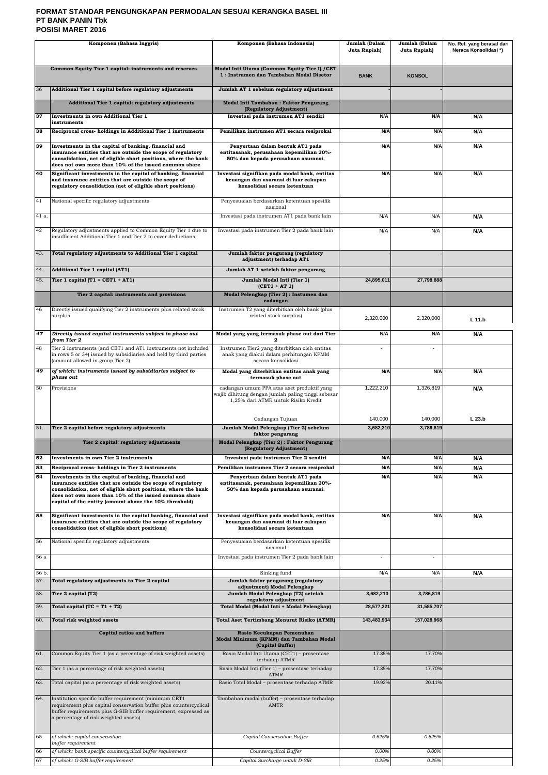## **FORMAT STANDAR PENGUNGKAPAN PERMODALAN SESUAI KERANGKA BASEL III PT BANK PANIN Tbk POSISI MARET 2016**

| Komponen (Bahasa Inggris) |                                                                                                                                                                                                                                                                                                          | Komponen (Bahasa Indonesia)                                                                                                             | Jumlah (Dalam<br>Juta Rupiah) | Jumlah (Dalam<br>Juta Rupiah) | No. Ref. yang berasal dari<br>Neraca Konsolidasi*) |
|---------------------------|----------------------------------------------------------------------------------------------------------------------------------------------------------------------------------------------------------------------------------------------------------------------------------------------------------|-----------------------------------------------------------------------------------------------------------------------------------------|-------------------------------|-------------------------------|----------------------------------------------------|
|                           | Common Equity Tier 1 capital: instruments and reserves                                                                                                                                                                                                                                                   | Modal Inti Utama (Common Equity Tier I) / CET<br>1: Instrumen dan Tambahan Modal Disetor                                                | <b>BANK</b>                   | <b>KONSOL</b>                 |                                                    |
| 36                        | Additional Tier 1 capital before regulatory adjustments                                                                                                                                                                                                                                                  | Jumlah AT 1 sebelum regulatory adjustment                                                                                               |                               |                               |                                                    |
|                           | Additional Tier 1 capital: regulatory adjustments                                                                                                                                                                                                                                                        | Modal Inti Tambahan : Faktor Pengurang<br>(Regulatory Adjustment)                                                                       |                               |                               |                                                    |
| 37                        | Investments in own Additional Tier 1<br>instruments                                                                                                                                                                                                                                                      | Investasi pada instrumen AT1 sendiri                                                                                                    | N/A                           | N/A                           | N/A                                                |
| 38                        | Reciprocal cross- holdings in Additional Tier 1 instruments                                                                                                                                                                                                                                              | Pemilikan instrumen AT1 secara resiprokal                                                                                               | N/A                           | N/A                           | N/A                                                |
| 39                        | Investments in the capital of banking, financial and<br>insurance entities that are outside the scope of regulatory<br>consolidation, net of eligible short positions, where the bank                                                                                                                    | Penyertaan dalam bentuk AT1 pada<br>entitasanak, perusahaan kepemilikan 20%-<br>50% dan kepada perusahaan asuransi.                     | N/A                           | N/A                           | N/A                                                |
| 40                        | does not own more than 10% of the issued common share<br>Significant investments in the capital of banking, financial                                                                                                                                                                                    | Investasi signifikan pada modal bank, entitas                                                                                           | N/A                           | N/A                           | N/A                                                |
|                           | and insurance entities that are outside the scope of<br>regulatory consolidation (net of eligible short positions)                                                                                                                                                                                       | keuangan dan asuransi di luar cakupan<br>konsolidasi secara ketentuan                                                                   |                               |                               |                                                    |
| 41                        | National specific regulatory adjustments                                                                                                                                                                                                                                                                 | Penyesuaian berdasarkan ketentuan spesifik<br>nasional                                                                                  |                               |                               |                                                    |
| 41 a.                     |                                                                                                                                                                                                                                                                                                          | Investasi pada instrumen AT1 pada bank lain                                                                                             | N/A                           | N/A                           | N/A                                                |
| 42                        | Regulatory adjustments applied to Common Equity Tier 1 due to<br>insufficient Additional Tier 1 and Tier 2 to cover deductions                                                                                                                                                                           | Investasi pada instrumen Tier 2 pada bank lain                                                                                          | N/A                           | N/A                           | N/A                                                |
| 43.                       | Total regulatory adjustments to Additional Tier 1 capital                                                                                                                                                                                                                                                | Jumlah faktor pengurang (regulatory<br>adjustment) terhadap AT1                                                                         |                               |                               |                                                    |
| 44.                       | Additional Tier 1 capital (AT1)                                                                                                                                                                                                                                                                          | Jumlah AT 1 setelah faktor pengurang                                                                                                    |                               |                               |                                                    |
| 45.                       | Tier 1 capital $(T1 = CET1 + AT1)$                                                                                                                                                                                                                                                                       | Jumlah Modal Inti (Tier 1)<br>$(CET1 + AT1)$                                                                                            | 24,895,011                    | 27,798,888                    |                                                    |
|                           | Tier 2 capital: instruments and provisions                                                                                                                                                                                                                                                               | Modal Pelengkap (Tier 2) : Instumen dan<br>cadangan                                                                                     |                               |                               |                                                    |
| 46                        | Directly issued qualifying Tier 2 instruments plus related stock                                                                                                                                                                                                                                         | Instrumen T2 yang diterbitkan oleh bank (plus                                                                                           |                               |                               |                                                    |
|                           | surplus                                                                                                                                                                                                                                                                                                  | related stock surplus)                                                                                                                  | 2,320,000                     | 2,320,000                     | L 11.b                                             |
| 47                        | Directly issued capital instruments subject to phase out<br>from Tier 2                                                                                                                                                                                                                                  | Modal yang yang termasuk phase out dari Tier                                                                                            | N/A                           | N/A                           | N/A                                                |
| 48                        | Tier 2 instruments (and CET1 and AT1 instruments not included<br>in rows 5 or 34) issued by subsidiaries and held by third parties<br>(amount allowed in group Tier 2)                                                                                                                                   | Instrumen Tier2 yang diterbitkan oleh entitas<br>anak yang diakui dalam perhitungan KPMM<br>secara konsolidasi                          | $\blacksquare$                |                               |                                                    |
| 49                        | of which: instruments issued by subsidiaries subject to<br>phase out                                                                                                                                                                                                                                     | Modal yang diterbitkan entitas anak yang<br>termasuk phase out                                                                          | N/A                           | N/A                           | N/A                                                |
| 50                        | Provisions                                                                                                                                                                                                                                                                                               | cadangan umum PPA atas aset produktif yang<br>wajib dihitung dengan jumlah paling tinggi sebesar<br>1,25% dari ATMR untuk Risiko Kredit | 1,222,210                     | 1,326,819                     | N/A                                                |
| 51.                       | Tier 2 capital before regulatory adjustments                                                                                                                                                                                                                                                             | Cadangan Tujuan<br>Jumlah Modal Pelengkap (Tier 2) sebelum                                                                              | 140,000<br>3,682,210          | 140,000<br>3,786,819          | L <sub>23.b</sub>                                  |
|                           |                                                                                                                                                                                                                                                                                                          | faktor pengurang<br>Modal Pelengkap (Tier 2) : Faktor Pengurang                                                                         |                               |                               |                                                    |
|                           | Tier 2 capital: regulatory adjustments                                                                                                                                                                                                                                                                   | (Regulatory Adjustment)                                                                                                                 |                               |                               |                                                    |
| 52<br>53                  | Investments in own Tier 2 instruments<br>Reciprocal cross- holdings in Tier 2 instruments                                                                                                                                                                                                                | Investasi pada instrumen Tier 2 sendiri<br>Pemilikan instrumen Tier 2 secara resiprokal                                                 | N/A<br>N/A                    | N/A<br>N/A                    | N/A<br>N/A                                         |
| 54                        | Investments in the capital of banking, financial and<br>insurance entities that are outside the scope of regulatory<br>consolidation, net of eligible short positions, where the bank<br>does not own more than 10% of the issued common share<br>capital of the entity (amount above the 10% threshold) | Penyertaan dalam bentuk AT1 pada<br>entitasanak, perusahaan kepemilikan 20%-<br>50% dan kepada perusahaan asuransi.                     | N/A                           | N/A                           | N/A                                                |
| 55                        | Significant investments in the capital banking, financial and<br>insurance entities that are outside the scope of regulatory<br>consolidation (net of eligible short positions)                                                                                                                          | Investasi signifikan pada modal bank, entitas<br>keuangan dan asuransi di luar cakupan<br>konsolidasi secara ketentuan                  | N/A                           | N/A                           | N/A                                                |
| 56                        | National specific regulatory adjustments                                                                                                                                                                                                                                                                 | Penyesuaian berdasarkan ketentuan spesifik<br>nasional                                                                                  |                               |                               |                                                    |
| 56 a                      |                                                                                                                                                                                                                                                                                                          | Investasi pada instrumen Tier 2 pada bank lain                                                                                          | $\mathbf{r}$                  | $\blacksquare$                |                                                    |
| 56 b.                     |                                                                                                                                                                                                                                                                                                          | Sinking fund                                                                                                                            | N/A                           | N/A                           | N/A                                                |
| 57.                       | Total regulatory adjustments to Tier 2 capital                                                                                                                                                                                                                                                           | Jumlah faktor pengurang (regulatory<br>adjustment) Modal Pelengkap                                                                      |                               |                               |                                                    |
| 58.                       | Tier 2 capital (T2)                                                                                                                                                                                                                                                                                      | Jumlah Modal Pelengkap (T2) setelah<br>regulatory adjustment                                                                            | 3,682,210                     | 3,786,819                     |                                                    |
| 59.                       | Total capital $(TC = T1 + T2)$                                                                                                                                                                                                                                                                           | Total Modal (Modal Inti + Modal Pelengkap)                                                                                              | 28,577,221                    | 31,585,707                    |                                                    |
| 60.                       | Total risk weighted assets                                                                                                                                                                                                                                                                               | <b>Total Aset Tertimbang Menurut Risiko (ATMR)</b>                                                                                      | 143,483,934                   | 157,028,968                   |                                                    |
|                           | <b>Capital ratios and buffers</b>                                                                                                                                                                                                                                                                        | Rasio Kecukupan Pemenuhan<br>Modal Minimum (KPMM) dan Tambahan Modal<br>(Capital Buffer)                                                |                               |                               |                                                    |
| 61.                       | Common Equity Tier 1 (as a percentage of risk weighted assets)                                                                                                                                                                                                                                           | Rasio Modal Inti Utama (CET1) - prosentase<br>terhadap ATMR                                                                             | 17.35%                        | 17.70%                        |                                                    |
| 62.                       | Tier 1 (as a percentage of risk weighted assets)                                                                                                                                                                                                                                                         | Rasio Modal Inti (Tier 1) - prosentase terhadap<br><b>ATMR</b>                                                                          | 17.35%                        | 17.70%                        |                                                    |
| 63.                       | Total capital (as a percentage of risk weighted assets)                                                                                                                                                                                                                                                  | Rasio Total Modal - prosentase terhadap ATMR                                                                                            | 19.92%                        | 20.11%                        |                                                    |
| 64.                       | Institution specific buffer requirement (minimum CET1<br>requirement plus capital conservation buffer plus countercyclical<br>buffer requirements plus G-SIB buffer requirement, expressed as<br>a percentage of risk weighted assets)                                                                   | Tambahan modal (buffer) - prosentase terhadap<br>AMTR                                                                                   |                               |                               |                                                    |
| 65<br>66                  | of which: capital conservation<br>buffer requirement<br>of which: bank specific countercyclical buffer requirement                                                                                                                                                                                       | Capital Conservation Buffer<br>Countercyclical Buffer                                                                                   | 0.625%<br>0.00%               | 0.625%<br>0.00%               |                                                    |
| 67                        | of which: G-SIB buffer requirement                                                                                                                                                                                                                                                                       | Capital Surcharge untuk D-SIB                                                                                                           | 0.25%                         | 0.25%                         |                                                    |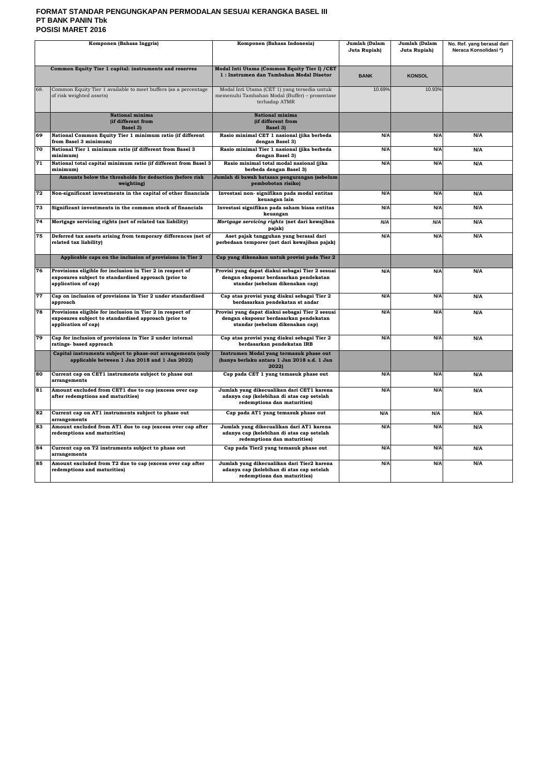## **FORMAT STANDAR PENGUNGKAPAN PERMODALAN SESUAI KERANGKA BASEL III PT BANK PANIN Tbk POSISI MARET 2016**

| Komponen (Bahasa Inggris) |                                                                                                                                          | Komponen (Bahasa Indonesia)                                                                                                  | Jumlah (Dalam<br>Juta Rupiah) | Jumlah (Dalam<br>Juta Rupiah) | No. Ref. yang berasal dari<br>Neraca Konsolidasi*) |
|---------------------------|------------------------------------------------------------------------------------------------------------------------------------------|------------------------------------------------------------------------------------------------------------------------------|-------------------------------|-------------------------------|----------------------------------------------------|
|                           | Common Equity Tier 1 capital: instruments and reserves                                                                                   | Modal Inti Utama (Common Equity Tier I) / CET<br>1: Instrumen dan Tambahan Modal Disetor                                     | <b>BANK</b>                   | <b>KONSOL</b>                 |                                                    |
| 68.                       | Common Equity Tier 1 available to meet buffers (as a percentage<br>of risk weighted assets)                                              | Modal Inti Utama (CET 1) yang tersedia untuk<br>memenuhi Tambahan Modal (Buffer) - prosentase<br>terhadap ATMR               | 10.69%                        | 10.93%                        |                                                    |
|                           | National minima<br>(if different from<br>Basel 3)                                                                                        | National minima<br>(if different from<br>Basel 3)                                                                            |                               |                               |                                                    |
| 69                        | National Common Equity Tier 1 minimum ratio (if different<br>from Basel 3 minimum)                                                       | Rasio minimal CET 1 nasional (jika berbeda<br>dengan Basel 3)                                                                | N/A                           | N/A                           | N/A                                                |
| 70                        | National Tier 1 minimum ratio (if different from Basel 3<br>minimum)                                                                     | Rasio minimal Tier 1 nasional (jika berbeda<br>dengan Basel 3)                                                               | N/A                           | N/A                           | N/A                                                |
| 71                        | National total capital minimum ratio (if different from Basel 3<br>minimum)                                                              | Rasio minimal total modal nasional (jika<br>berbeda dengan Basel 3)                                                          | N/A                           | N/A                           | N/A                                                |
|                           | Amounts below the thresholds for deduction (before risk<br>weighting)                                                                    | Jumlah di bawah batasan pengurangan (sebelum<br>pembobotan risiko)                                                           |                               |                               |                                                    |
| 72                        | Non-significant investments in the capital of other financials                                                                           | Investasi non- signifikan pada modal entitas<br>keuangan lain                                                                | N/A                           | N/A                           | N/A                                                |
| 73                        | Significant investments in the common stock of financials                                                                                | Investasi signifikan pada saham biasa entitas<br>keuangan                                                                    | N/A                           | N/A                           | N/A                                                |
| 74                        | Mortgage servicing rights (net of related tax liability)                                                                                 | Mortgage servicing rights (net dari kewajiban<br>pajak)                                                                      | N/A                           | N/A                           | N/A                                                |
| 75                        | Deferred tax assets arising from temporary differences (net of<br>related tax liability)                                                 | Aset pajak tangguhan yang berasal dari<br>perbedaan temporer (net dari kewajiban pajak)                                      | N/A                           | N/A                           | N/A                                                |
|                           | Applicable caps on the inclusion of provisions in Tier 2                                                                                 | Cap yang dikenakan untuk provisi pada Tier 2                                                                                 |                               |                               |                                                    |
| 76                        | Provisions eligible for inclusion in Tier 2 in respect of<br>exposures subject to standardised approach (prior to<br>application of cap) | Provisi yang dapat diakui sebagai Tier 2 sesuai<br>dengan eksposur berdasarkan pendekatan<br>standar (sebelum dikenakan cap) | N/A                           | N/A                           | N/A                                                |
| 77                        | Cap on inclusion of provisions in Tier 2 under standardised<br>approach                                                                  | Cap atas provisi yang diakui sebagai Tier 2<br>berdasarkan pendekatan st andar                                               | N/A                           | N/A                           | N/A                                                |
| 78                        | Provisions eligible for inclusion in Tier 2 in respect of<br>exposures subject to standardised approach (prior to<br>application of cap) | Provisi yang dapat diakui sebagai Tier 2 sesuai<br>dengan eksposur berdasarkan pendekatan<br>standar (sebelum dikenakan cap) | N/A                           | N/A                           | N/A                                                |
| 79                        | Cap for inclusion of provisions in Tier 2 under internal<br>ratings-based approach                                                       | Cap atas provisi yang diakui sebagai Tier 2<br>berdasarkan pendekatan IRB                                                    | N/A                           | N/A                           | N/A                                                |
|                           | Capital instruments subject to phase-out arrangements (only<br>applicable between 1 Jan 2018 and 1 Jan 2022)                             | Instrumen Modal yang termasuk phase out<br>(hanya berlaku antara 1 Jan 2018 s.d. 1 Jan<br>2022)                              |                               |                               |                                                    |
| 80                        | Current cap on CET1 instruments subject to phase out<br>arrangements                                                                     | Cap pada CET 1 yang temasuk phase out                                                                                        | N/A                           | N/A                           | N/A                                                |
| 81                        | Amount excluded from CET1 due to cap (excess over cap<br>after redemptions and maturities)                                               | Jumlah yang dikecualikan dari CET1 karena<br>adanya cap (kelebihan di atas cap setelah<br>redemptions dan maturities)        | N/A                           | N/A                           | N/A                                                |
| 82                        | Current cap on AT1 instruments subject to phase out<br>arrangements                                                                      | Cap pada AT1 yang temasuk phase out                                                                                          | N/A                           | N/A                           | N/A                                                |
| 83                        | Amount excluded from AT1 due to cap (excess over cap after<br>redemptions and maturities)                                                | Jumlah yang dikecualikan dari AT1 karena<br>adanya cap (kelebihan di atas cap setelah<br>redemptions dan maturities)         | N/A                           | N/A                           | N/A                                                |
| 84                        | Current cap on T2 instruments subject to phase out<br>arrangements                                                                       | Cap pada Tier2 yang temasuk phase out                                                                                        | N/A                           | N/A                           | N/A                                                |
| 85                        | Amount excluded from T2 due to cap (excess over cap after<br>redemptions and maturities)                                                 | Jumlah yang dikecualikan dari Tier2 karena<br>adanya cap (kelebihan di atas cap setelah<br>redemptions dan maturities)       | N/A                           | N/A                           | N/A                                                |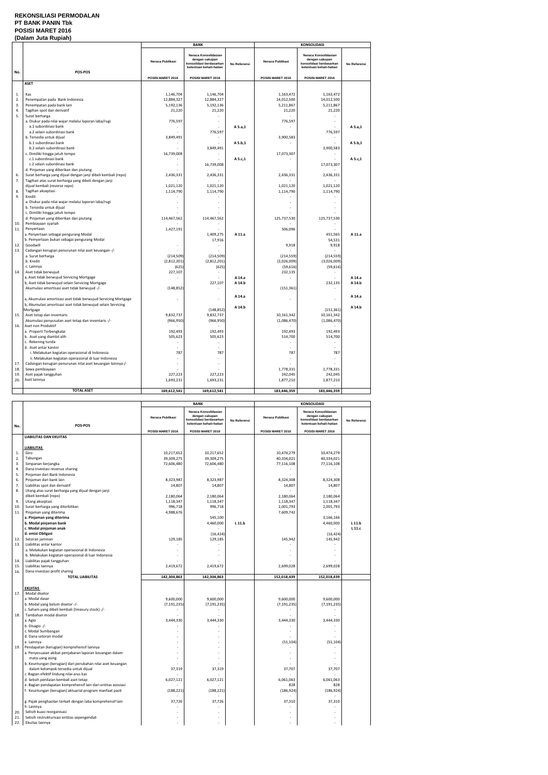#### **REKONSILIASI PERMODALAN PT BANK PANIN Tbk POSISI MARET 2016 (Dalam Juta Rupiah)**

|            |                                                                                                  | <b>BANK</b>       |                                                                                              | <b>KONSOLIDASI</b> |                   |                                                                                              |                  |
|------------|--------------------------------------------------------------------------------------------------|-------------------|----------------------------------------------------------------------------------------------|--------------------|-------------------|----------------------------------------------------------------------------------------------|------------------|
| No.        | POS-POS                                                                                          | Neraca Publikasi  | Neraca Konsolidasian<br>dengan cakupan<br>konsolidasi berdasarkan<br>ketentuan kehati-hatian | No Referensi       | Neraca Publikasi  | Neraca Konsolidasian<br>dengan cakupan<br>konsolidasi berdasarkan<br>ketentuan kehati-hatian | No Referensi     |
|            |                                                                                                  | POSISI MARET 2016 | POSISI MARET 2016                                                                            |                    | POSISI MARET 2016 | POSISI MARET 2016                                                                            |                  |
|            | <b>ASET</b>                                                                                      |                   |                                                                                              |                    |                   |                                                                                              |                  |
|            |                                                                                                  |                   |                                                                                              |                    |                   |                                                                                              |                  |
| 1.         | Kas                                                                                              | 1,146,704         | 1,146,704                                                                                    |                    | 1,163,472         | 1,163,472                                                                                    |                  |
| 2.         | Penempatan pada Bank Indonesia                                                                   | 12,884,327        | 12,884,327                                                                                   |                    | 14,012,500        | 14,012,500                                                                                   |                  |
| 3.         | Penempatan pada bank lain                                                                        | 5,192,136         | 5,192,136                                                                                    |                    | 5,211,867         | 5,211,867                                                                                    |                  |
| 4.<br>5.   | Tagihan spot dan derivatif<br>Surat berharga                                                     | 21,220            | 21,220                                                                                       |                    | 21,220            | 21,220                                                                                       |                  |
|            | a. Diukur pada nilai wajar melalui laporan laba/rugi                                             | 776,597           | ÷,                                                                                           |                    | 776,597           | $\sim$                                                                                       |                  |
|            | a.1 subordinasi bank                                                                             |                   |                                                                                              | A 5.a,1            |                   |                                                                                              | A 5.a,1          |
|            | a.2 selain subordinasi bank                                                                      |                   | 776,597                                                                                      |                    |                   | 776,597                                                                                      |                  |
|            | b. Tersedia untuk dijual                                                                         | 3,849,491         | ÷                                                                                            |                    | 3,900,583         | $\sim$                                                                                       |                  |
|            | b.1 subordinasi bank                                                                             |                   |                                                                                              | A 5.b,1            |                   |                                                                                              | A 5.b,1          |
|            | b.2 selain subordinasi bank                                                                      |                   | 3,849,491                                                                                    |                    |                   | 3,900,583                                                                                    |                  |
|            | c. Dimiliki hingga jatuh tempo                                                                   | 16,739,008        |                                                                                              |                    | 17,073,307        |                                                                                              |                  |
|            | c.1 subordinasi bank                                                                             |                   |                                                                                              | A 5.c,1            |                   | $\sim$                                                                                       | A 5.c,1          |
|            | c.2 selain subordinasi bank                                                                      |                   | 16,739,008                                                                                   |                    |                   | 17,073,307                                                                                   |                  |
|            | d. Pinjaman yang diberikan dan piutang                                                           |                   |                                                                                              |                    |                   |                                                                                              |                  |
| 6.         | Surat berharga yang dijual dengan janji dibeli kembali (repo)                                    | 2,436,331         | 2,436,331                                                                                    |                    | 2,436,331         | 2,436,331                                                                                    |                  |
| 7.         | Tagihan atas surat berharga yang dibeli dengan janji                                             |                   |                                                                                              |                    |                   |                                                                                              |                  |
|            | dijual kembali (reverse repo)                                                                    | 1,021,120         | 1,021,120                                                                                    |                    | 1,021,120         | 1,021,120                                                                                    |                  |
| 8.         | Tagihan akseptasi                                                                                | 1,114,790         | 1,114,790                                                                                    |                    | 1,114,790         | 1,114,790                                                                                    |                  |
| 9.         | Kredit<br>a. Diukur pada nilai wajar melalui laporan laba/rugi                                   |                   |                                                                                              |                    | ٠                 |                                                                                              |                  |
|            | b. Tersedia untuk dijual                                                                         |                   |                                                                                              |                    |                   |                                                                                              |                  |
|            | c. Dimiliki hingga jatuh tempo                                                                   |                   |                                                                                              |                    |                   |                                                                                              |                  |
|            | d. Pinjaman yang diberikan dan piutang                                                           | 114,467,562       | 114,467,562                                                                                  |                    | 125,737,530       | 125,737,530                                                                                  |                  |
| 10.        | Pembiayaan syariah                                                                               |                   |                                                                                              |                    |                   |                                                                                              |                  |
| 11.        | Penyertaan                                                                                       | 1,427,191         |                                                                                              |                    | 506,096           | $\sim$                                                                                       |                  |
|            | a. Penyertaan sebagai pengurang Modal                                                            |                   | 1,409,275                                                                                    | A 11.a             |                   | 451,565                                                                                      | A 11.a           |
|            | b. Pemyertaan bukan sebagai pengurang Modal                                                      |                   | 17,916                                                                                       |                    |                   | 54,531                                                                                       |                  |
| 12.        | Goodwill                                                                                         |                   |                                                                                              |                    | 9,918             | 9,918                                                                                        |                  |
| 13.        | Cadangan kerugian penurunan nilai aset keuangan -/-                                              |                   |                                                                                              |                    |                   |                                                                                              |                  |
|            | a. Surat berharga                                                                                | (214, 509)        | (214, 509)                                                                                   |                    | (214, 559)        | (214, 559)                                                                                   |                  |
|            | b. Kredit                                                                                        | (2,812,201)       | (2,812,201)                                                                                  |                    | (3,026,009)       | (3,026,009)                                                                                  |                  |
|            | c. Lainnya                                                                                       | (625)             | (625)                                                                                        |                    | (59, 616)         | (59, 616)                                                                                    |                  |
| 14.        | Aset tidak berwujud                                                                              | 227,107           |                                                                                              |                    | 232,135           |                                                                                              |                  |
|            | a, Aset tidak berwujud Servicing Mortgage                                                        |                   | 227,107                                                                                      | A 14.a<br>A 14.b   |                   | $\sim$<br>232,135                                                                            | A 14.a<br>A 14.b |
|            | b, Aset tidak berwujud selain Servicing Mortgage<br>Akumulasi amortisasi aset tidak berwujud -/- |                   |                                                                                              |                    |                   | $\sim$                                                                                       |                  |
|            |                                                                                                  | (148, 852)        |                                                                                              |                    | (151, 361)        |                                                                                              |                  |
|            | a, Akumulasi amortisasi aset tidak berwujud Servicing Mortgage                                   |                   |                                                                                              | A 14.a             |                   |                                                                                              | A 14.a           |
|            | b, Akumulasi amortisasi aset tidak berwujud selain Servicing                                     |                   |                                                                                              |                    |                   |                                                                                              |                  |
|            | Mortgage                                                                                         |                   | (148, 852)                                                                                   | A 14.b             |                   | (151, 361)                                                                                   | A 14.b           |
| 15.        | Aset tetap dan inventaris                                                                        | 9,832,737         | 9,832,737                                                                                    |                    | 10,161,342        | 10,161,342                                                                                   |                  |
|            | Akumulasi penyusutan aset tetap dan inventaris -/-                                               | (966, 950)        | (966, 950)                                                                                   |                    | (1,086,470)       | (1,086,470)                                                                                  |                  |
| 16.        | Aset non Produktif                                                                               |                   |                                                                                              |                    |                   |                                                                                              |                  |
|            | a. Properti Terbengkalai                                                                         | 192,493           | 192,493                                                                                      |                    | 192,493           | 192,493                                                                                      |                  |
|            | b. Aset yang diambil alih                                                                        | 505,623           | 505,623                                                                                      |                    | 514,700           | 514,700                                                                                      |                  |
|            | c. Rekening tunda                                                                                |                   |                                                                                              |                    |                   |                                                                                              |                  |
|            | d. Aset antar kantor                                                                             |                   |                                                                                              |                    | ٠                 |                                                                                              |                  |
|            | i. Melakukan kegiatan operasional di Indonesia                                                   | 787               | 787                                                                                          |                    | 787               | 787                                                                                          |                  |
|            | ii. Melakukan kegiatan operasional di luar Indonesia                                             |                   |                                                                                              |                    |                   |                                                                                              |                  |
| 17.<br>18. | Cadangan kerugian penurunan nilai aset keuangan lainnya-/-<br>Sewa pembiayaan                    |                   |                                                                                              |                    | 1,778,331         |                                                                                              |                  |
| 19         | Aset pajak tangguhan                                                                             | 227,223           | 227,223                                                                                      |                    | 242,045           | 1,778,331<br>242,045                                                                         |                  |
| 20.        | Aset lainnya                                                                                     | 1,693,231         | 1,693,231                                                                                    |                    | 1,877,210         | 1,877,210                                                                                    |                  |
|            |                                                                                                  |                   |                                                                                              |                    |                   |                                                                                              |                  |
|            | <b>TOTAL ASET</b>                                                                                | 169,612,541       | 169,612,541                                                                                  |                    | 183,446,359       | 183,446,359                                                                                  |                  |

|          |                                                                                  |                   | <b>BANK</b>                                                                                  |              |                   | <b>KONSOLIDASI</b>                                                                           |              |
|----------|----------------------------------------------------------------------------------|-------------------|----------------------------------------------------------------------------------------------|--------------|-------------------|----------------------------------------------------------------------------------------------|--------------|
| No.      | POS-POS                                                                          | Neraca Publikasi  | Neraca Konsolidasian<br>dengan cakupan<br>konsolidasi berdasarkan<br>ketentuan kehati-hatian | No Referensi | Neraca Publikasi  | Neraca Konsolidasian<br>dengan cakupan<br>konsolidasi berdasarkan<br>ketentuan kehati-hatian | No Referensi |
|          |                                                                                  | POSISI MARET 2016 | POSISI MARET 2016                                                                            |              | POSISI MARET 2016 | POSISI MARET 2016                                                                            |              |
|          | <b>LIABILITAS DAN EKUITAS</b>                                                    |                   |                                                                                              |              |                   |                                                                                              |              |
|          |                                                                                  |                   |                                                                                              |              |                   |                                                                                              |              |
|          | <b>LIABILITAS</b>                                                                |                   |                                                                                              |              |                   |                                                                                              |              |
| 1.       | Giro                                                                             | 10,217,652        | 10,217,652                                                                                   |              | 10,474,279        | 10,474,279                                                                                   |              |
| 2.       | Tabungan                                                                         | 39,309,275        | 39,309,275                                                                                   |              | 40,334,021        | 40,334,021                                                                                   |              |
| 3.       | Simpanan berjangka                                                               | 72,606,480        | 72,606,480                                                                                   |              | 77,116,108        | 77,116,108                                                                                   |              |
| 4.       | Dana investasi revenue sharing                                                   |                   |                                                                                              |              |                   |                                                                                              |              |
| 5.       | Pinjaman dari Bank Indonesia                                                     |                   |                                                                                              |              |                   |                                                                                              |              |
| 6.       | Pinjaman dari bank lain                                                          | 8,323,987         | 8,323,987                                                                                    |              | 8,324,308         | 8,324,308                                                                                    |              |
| 7.<br>8. | Liabilitas spot dan derivatif                                                    | 14,807            | 14,807                                                                                       |              | 14,807            | 14,807                                                                                       |              |
|          | Utang atas surat berharga yang dijual dengan janji<br>dibeli kembali (repo)      | 2,180,064         | 2,180,064                                                                                    |              | 2,180,064         | 2,180,064                                                                                    |              |
| 9.       | Utang akseptasi                                                                  | 1,118,347         | 1,118,347                                                                                    |              | 1,118,347         | 1,118,347                                                                                    |              |
| 10.      | Surat berharga yang diterbitkan                                                  | 996,718           | 996,718                                                                                      |              | 2,001,793         | 2,001,793                                                                                    |              |
| 11.      | Pinjaman yang diterima                                                           | 4,988,676         |                                                                                              |              | 7,609,742         |                                                                                              |              |
|          | a. Pinjaman yang diterima                                                        |                   | 545,100                                                                                      |              |                   | 3,166,166                                                                                    |              |
|          | b. Modal pinjaman bank                                                           |                   | 4,460,000                                                                                    | $L$ 11.b     |                   | 4,460,000                                                                                    | L 11.b       |
|          | c. Modal pinjaman anak                                                           |                   |                                                                                              |              |                   |                                                                                              | L 11.c       |
|          | d. emisi Obligasi                                                                |                   | (16, 424)                                                                                    |              |                   | (16, 424)                                                                                    |              |
| 12.      | Setoran jaminan                                                                  | 129,185           | 129,185                                                                                      |              | 145,942           | 145,942                                                                                      |              |
| 13.      | Liabilitas antar kantor                                                          |                   |                                                                                              |              |                   |                                                                                              |              |
|          | a. Melakukan kegiatan operasional di Indonesia                                   |                   |                                                                                              |              |                   |                                                                                              |              |
|          | b. Melakukan kegiatan operasional di luar Indonesia                              |                   |                                                                                              |              |                   |                                                                                              |              |
| 14.      | Liabilitas pajak tangguhan                                                       |                   |                                                                                              |              |                   |                                                                                              |              |
| 15.      | Liabilitas lainnya                                                               | 2,419,672         | 2,419,672                                                                                    |              | 2,699,028         | 2,699,028                                                                                    |              |
| 16.      | Dana investasi profit sharing<br><b>TOTAL LIABILITAS</b>                         |                   |                                                                                              |              |                   |                                                                                              |              |
|          |                                                                                  | 142,304,863       | 142,304,863                                                                                  |              | 152,018,439       | 152,018,439                                                                                  |              |
|          | <b>EKUITAS</b>                                                                   |                   |                                                                                              |              |                   |                                                                                              |              |
| 17.      | Modal disetor                                                                    |                   |                                                                                              |              |                   |                                                                                              |              |
|          | a. Modal dasar                                                                   | 9,600,000         | 9,600,000                                                                                    |              | 9,600,000         | 9,600,000                                                                                    |              |
|          | b. Modal yang belum disetor -/-                                                  | (7, 191, 235)     | (7, 191, 235)                                                                                |              | (7, 191, 235)     | (7, 191, 235)                                                                                |              |
|          | c. Saham yang dibeli kembali (treasury stock) -/-                                |                   | ÷                                                                                            |              | $\mathbf{r}$      |                                                                                              |              |
| 18.      | Tambahan modal disetor                                                           |                   |                                                                                              |              |                   |                                                                                              |              |
|          | a. Agio                                                                          | 3,444,330         | 3,444,330                                                                                    |              | 3,444,330         | 3,444,330                                                                                    |              |
|          | b. Disagio -/-                                                                   |                   |                                                                                              |              |                   |                                                                                              |              |
|          | c. Modal Sumbangan                                                               |                   |                                                                                              |              |                   |                                                                                              |              |
|          | d. Dana setoran modal                                                            |                   |                                                                                              |              |                   |                                                                                              |              |
|          | e. Lainnya                                                                       |                   |                                                                                              |              | (51, 104)         | (51, 104)                                                                                    |              |
| 19.      | Pendapatan (kerugian) komprehensif lainnya                                       |                   |                                                                                              |              |                   |                                                                                              |              |
|          | a. Penyesuaian akibat penjabaran laporan keuangan dalam                          |                   |                                                                                              |              |                   |                                                                                              |              |
|          | mata uang asing                                                                  |                   |                                                                                              |              |                   |                                                                                              |              |
|          | b. Keuntungan (kerugian) dari perubahan nilai aset keuangan                      |                   |                                                                                              |              |                   |                                                                                              |              |
|          | dalam kelompok tersedia untuk dijual<br>c. Bagian efektif lindung nilai arus kas | 37,319            | 37,319                                                                                       |              | 37,707            | 37,707                                                                                       |              |
|          | d. Selisih penilaian kembali aset tetap                                          | 6,027,121         | 6,027,121                                                                                    |              | 6,061,063         | 6,061,063                                                                                    |              |
|          | e. Bagian pendapatan komprehensif lain dari entitas asosiasi                     |                   |                                                                                              |              | 828               | 828                                                                                          |              |
|          | f. Keuntungan (kerugian) aktuarial program manfaat pasti                         | (188, 221)        | (188, 221)                                                                                   |              | (186, 924)        | (186, 924)                                                                                   |              |
|          |                                                                                  |                   |                                                                                              |              |                   |                                                                                              |              |
|          | g. Pajak penghasilan terkait dengan laba komprehensif lain                       | 37,726            | 37,726                                                                                       |              | 37,310            | 37,310                                                                                       |              |
|          | h. Lainnya                                                                       |                   |                                                                                              |              |                   |                                                                                              |              |
| 20.      | Selisih kuasi reorganisasi                                                       |                   |                                                                                              |              |                   |                                                                                              |              |
| 21.      | Selisih restrukturisasi entitas sepengendali                                     |                   |                                                                                              |              |                   |                                                                                              |              |
| 22.      | Ekuitas lainnya                                                                  |                   |                                                                                              |              |                   |                                                                                              |              |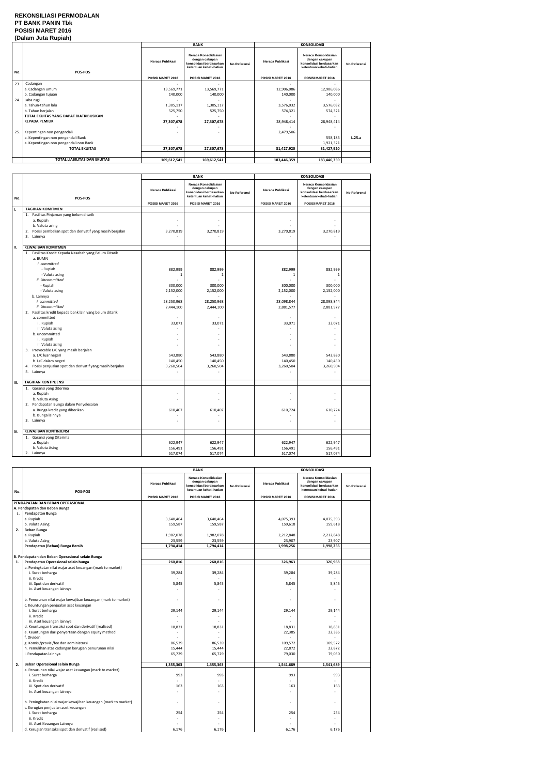#### **REKONSILIASI PERMODALAN PT BANK PANIN Tbk POSISI MARET 2016 (Dalam Juta Rupiah)**

|     |                                        | <b>BANK</b>       |                                                                                              |                     | <b>KONSOLIDASI</b>       |                                                                                              |              |
|-----|----------------------------------------|-------------------|----------------------------------------------------------------------------------------------|---------------------|--------------------------|----------------------------------------------------------------------------------------------|--------------|
| No. | <b>POS-POS</b>                         | Neraca Publikasi  | Neraca Konsolidasian<br>dengan cakupan<br>konsolidasi berdasarkan<br>ketentuan kehati-hatian | <b>No Referensi</b> | Neraca Publikasi         | Neraca Konsolidasian<br>dengan cakupan<br>konsolidasi berdasarkan<br>ketentuan kehati-hatian | No Referensi |
|     |                                        | POSISI MARET 2016 | POSISI MARET 2016                                                                            |                     | POSISI MARET 2016        | POSISI MARET 2016                                                                            |              |
| 23. | Cadangan                               |                   | ٠                                                                                            |                     | $\overline{\phantom{a}}$ | $\overline{\phantom{a}}$                                                                     |              |
|     | a. Cadangan umum                       | 13,569,771        | 13,569,771                                                                                   |                     | 12,906,086               | 12,906,086                                                                                   |              |
|     | b. Cadangan tujuan                     | 140,000           | 140,000                                                                                      |                     | 140,000                  | 140,000                                                                                      |              |
| 24. | Laba rugi                              |                   | ٠                                                                                            |                     |                          | ٠                                                                                            |              |
|     | a. Tahun-tahun lalu                    | 1,305,117         | 1,305,117                                                                                    |                     | 3,576,032                | 3,576,032                                                                                    |              |
|     | b. Tahun berjalan                      | 525,750           | 525,750                                                                                      |                     | 574,321                  | 574,321                                                                                      |              |
|     | TOTAL EKUITAS YANG DAPAT DIATRIBUSIKAN |                   | ۰                                                                                            |                     |                          | ٠                                                                                            |              |
|     | <b>KEPADA PEMILIK</b>                  | 27,307,678        | 27,307,678                                                                                   |                     | 28,948,414               | 28,948,414                                                                                   |              |
|     |                                        |                   |                                                                                              |                     |                          |                                                                                              |              |
| 25. | Kepentingan non pengendali             |                   |                                                                                              |                     | 2,479,506                |                                                                                              |              |
|     | a. Kepentingan non pengendali Bank     |                   |                                                                                              |                     |                          | 558,185                                                                                      | L.25.a       |
|     | a. Kepentingan non pengendali non Bank |                   |                                                                                              |                     |                          | 1,921,321                                                                                    |              |
|     | <b>TOTAL EKUITAS</b>                   | 27,307,678        | 27,307,678                                                                                   |                     | 31,427,920               | 31,427,920                                                                                   |              |
|     |                                        |                   |                                                                                              |                     |                          |                                                                                              |              |
|     | TOTAL LIABILITAS DAN EKUITAS           | 169,612,541       | 169,612,541                                                                                  |                     | 183,446,359              | 183,446,359                                                                                  |              |

|     |                                                                                                                                                                                                                                                                                                                                                                                                                                                                                                                                                       | <b>BANK</b>                                                                                                                  |                                                                                                                         |              | <b>KONSOLIDASI</b>                                                                                                      |                                                                                                                               |              |
|-----|-------------------------------------------------------------------------------------------------------------------------------------------------------------------------------------------------------------------------------------------------------------------------------------------------------------------------------------------------------------------------------------------------------------------------------------------------------------------------------------------------------------------------------------------------------|------------------------------------------------------------------------------------------------------------------------------|-------------------------------------------------------------------------------------------------------------------------|--------------|-------------------------------------------------------------------------------------------------------------------------|-------------------------------------------------------------------------------------------------------------------------------|--------------|
| No. | POS-POS                                                                                                                                                                                                                                                                                                                                                                                                                                                                                                                                               | Neraca Publikasi                                                                                                             | Neraca Konsolidasian<br>dengan cakupan<br>konsolidasi berdasarkan<br>ketentuan kehati-hatian                            | No Referensi | Neraca Publikasi                                                                                                        | Neraca Konsolidasian<br>dengan cakupan<br>konsolidasi berdasarkan<br>ketentuan kehati-hatian                                  | No Referensi |
|     |                                                                                                                                                                                                                                                                                                                                                                                                                                                                                                                                                       | POSISI MARET 2016                                                                                                            | POSISI MARET 2016                                                                                                       |              | POSISI MARET 2016                                                                                                       | POSISI MARET 2016                                                                                                             |              |
| ı.  | <b>TAGIHAN KOMITMEN</b>                                                                                                                                                                                                                                                                                                                                                                                                                                                                                                                               |                                                                                                                              |                                                                                                                         |              |                                                                                                                         |                                                                                                                               |              |
|     | 1. Fasilitas Pinjaman yang belum ditarik<br>a. Rupiah<br>b. Valuta asing<br>Posisi pembelian spot dan derivatif yang masih berjalan<br>2.<br>3. Lainnya                                                                                                                                                                                                                                                                                                                                                                                               | $\overline{\phantom{a}}$<br>3,270,819                                                                                        | 3,270,819                                                                                                               |              | 3,270,819                                                                                                               | 3,270,819                                                                                                                     |              |
| н.  | <b>KEWAJIBAN KOMITMEN</b>                                                                                                                                                                                                                                                                                                                                                                                                                                                                                                                             |                                                                                                                              |                                                                                                                         |              |                                                                                                                         |                                                                                                                               |              |
|     | 1. Fasilitas Kredit Kepada Nasabah yang Belum Ditarik<br>a. BUMN<br>i. committed<br>- Rupiah<br>- Valuta asing<br>ii. Uncommitted<br>- Rupiah<br>- Valuta asing<br>b. Lainnya<br>i. committed<br>ii. Uncommitted<br>2. Fasilitas kredit kepada bank lain yang belum ditarik<br>a. committed<br>i. Rupiah<br>ii. Valuta asing<br>b. uncommitted<br>i. Rupiah<br>ii. Valuta asing<br>3. Irrevocable L/C yang masih berjalan<br>a. L/C luar negeri<br>b. L/C dalam negeri<br>4. Posisi penjualan spot dan derivatif yang masih berjalan<br>5.<br>Lainnya | 882,999<br>$\mathbf{1}$<br>300,000<br>2,152,000<br>28,250,968<br>2,444,100<br>33,071<br>÷<br>543,880<br>140,450<br>3,260,504 | 882,999<br>$\mathbf{1}$<br>300,000<br>2,152,000<br>28,250,968<br>2,444,100<br>33,071<br>543,880<br>140,450<br>3,260,504 |              | 882,999<br>1<br>300,000<br>2,152,000<br>28,098,844<br>2,881,577<br>33,071<br>L.<br>÷<br>543,880<br>140,450<br>3,260,504 | 882,999<br>$\mathbf{1}$<br>300,000<br>2,152,000<br>28,098,844<br>2,881,577<br>33,071<br>ä,<br>543,880<br>140,450<br>3,260,504 |              |
|     |                                                                                                                                                                                                                                                                                                                                                                                                                                                                                                                                                       |                                                                                                                              |                                                                                                                         |              |                                                                                                                         |                                                                                                                               |              |
| Ш.  | <b>TAGIHAN KONTINJENSI</b>                                                                                                                                                                                                                                                                                                                                                                                                                                                                                                                            |                                                                                                                              |                                                                                                                         |              |                                                                                                                         |                                                                                                                               |              |
|     | 1. Garansi yang diterima<br>a. Rupiah<br>b. Valuta Asing<br>2. Pendapatan Bunga dalam Penyelesaian<br>a. Bunga kredit yang diberikan<br>b. Bunga lainnya<br>3. Lainnya                                                                                                                                                                                                                                                                                                                                                                                | 610,407                                                                                                                      | 610,407                                                                                                                 |              | ä,<br>610,724<br>ä,                                                                                                     | 610,724<br>÷                                                                                                                  |              |
| IV. | <b>KEWAJIBAN KONTINJENSI</b>                                                                                                                                                                                                                                                                                                                                                                                                                                                                                                                          |                                                                                                                              |                                                                                                                         |              |                                                                                                                         |                                                                                                                               |              |
|     | 1. Garansi yang Diterima<br>a. Rupiah<br>b. Valuta Asing<br>2. Lainnya                                                                                                                                                                                                                                                                                                                                                                                                                                                                                | 622,947<br>156,491<br>517,074                                                                                                | 622,947<br>156,491<br>517,074                                                                                           |              | 622,947<br>156,491<br>517,074                                                                                           | 622,947<br>156,491<br>517,074                                                                                                 |              |

|     |                                                                | <b>BANK</b>              |                                                                                              |              | <b>KONSOLIDASI</b> |                                                                                              |              |
|-----|----------------------------------------------------------------|--------------------------|----------------------------------------------------------------------------------------------|--------------|--------------------|----------------------------------------------------------------------------------------------|--------------|
|     |                                                                |                          |                                                                                              |              |                    |                                                                                              |              |
| No. | POS-POS                                                        | Neraca Publikasi         | Neraca Konsolidasian<br>dengan cakupan<br>konsolidasi berdasarkan<br>ketentuan kehati-hatian | No Referensi | Neraca Publikasi   | Neraca Konsolidasian<br>dengan cakupan<br>konsolidasi berdasarkan<br>ketentuan kehati-hatian | No Referensi |
|     |                                                                | POSISI MARET 2016        | POSISI MARET 2016                                                                            |              | POSISI MARET 2016  | POSISI MARET 2016                                                                            |              |
|     | PENDAPATAN DAN BEBAN OPERASIONAL                               |                          |                                                                                              |              |                    |                                                                                              |              |
|     | A. Pendapatan dan Beban Bunga                                  |                          |                                                                                              |              |                    |                                                                                              |              |
| 1.  | Pendapatan Bunga                                               |                          |                                                                                              |              |                    |                                                                                              |              |
|     | a. Rupiah                                                      | 3,640,464                | 3,640,464                                                                                    |              | 4,075,393          | 4,075,393                                                                                    |              |
|     | b. Valuta Asing                                                | 159,587                  | 159,587                                                                                      |              | 159,618            | 159,618                                                                                      |              |
| 2.  | Beban Bunga                                                    |                          |                                                                                              |              |                    |                                                                                              |              |
|     | a. Rupiah                                                      | 1,982,078                | 1,982,078                                                                                    |              | 2,212,848          | 2,212,848                                                                                    |              |
|     | b. Valuta Asing                                                | 23,559                   | 23,559                                                                                       |              | 23,907             | 23,907                                                                                       |              |
|     | Pendapatan (Beban) Bunga Bersih                                | 1,794,414                | 1,794,414                                                                                    |              | 1,998,256          | 1,998,256                                                                                    |              |
|     |                                                                |                          |                                                                                              |              |                    |                                                                                              |              |
|     | B. Pendapatan dan Beban Operasional selain Bunga               |                          |                                                                                              |              |                    |                                                                                              |              |
| 1.  | Pendapatan Operasional selain bunga                            | 260,816                  | 260,816                                                                                      |              | 326,963            | 326,963                                                                                      |              |
|     | a. Peningkatan nilai wajar aset keuangan (mark to market)      |                          |                                                                                              |              |                    |                                                                                              |              |
|     | i. Surat berharga                                              | 39,284                   | 39,284                                                                                       |              | 39,284             | 39,284                                                                                       |              |
|     | ii. Kredit                                                     |                          |                                                                                              |              |                    |                                                                                              |              |
|     | iii. Spot dan derivatif                                        | 5,845                    | 5,845                                                                                        |              | 5,845              | 5,845                                                                                        |              |
|     | iv. Aset keuangan lainnya                                      |                          |                                                                                              |              |                    |                                                                                              |              |
|     |                                                                |                          |                                                                                              |              |                    |                                                                                              |              |
|     | b. Penurunan nilai wajar kewajiban keuangan (mark to market)   |                          |                                                                                              |              |                    | ٠                                                                                            |              |
|     | c. Keuntungan penjualan aset keuangan                          |                          |                                                                                              |              |                    |                                                                                              |              |
|     | i. Surat berharga                                              | 29,144                   | 29,144                                                                                       |              | 29,144             | 29,144                                                                                       |              |
|     | ii. Kredit                                                     |                          |                                                                                              |              |                    |                                                                                              |              |
|     | iii. Aset keuangan lainnya                                     |                          |                                                                                              |              |                    |                                                                                              |              |
|     | d. Keuntungan transaksi spot dan derivatif (realised)          | 18,831                   | 18,831                                                                                       |              | 18,831             | 18,831                                                                                       |              |
|     | e. Keuntungan dari penyertaan dengan equity method             |                          |                                                                                              |              | 22,385             | 22,385                                                                                       |              |
|     | f. Dividen                                                     |                          |                                                                                              |              |                    |                                                                                              |              |
|     | g. Komisi/provisi/fee dan administrasi                         | 86,539                   | 86,539                                                                                       |              | 109,572            | 109,572                                                                                      |              |
|     | h. Pemulihan atas cadangan kerugian penurunan nilai            | 15,444                   | 15,444                                                                                       |              | 22,872             | 22,872                                                                                       |              |
|     | i. Pendapatan lainnya                                          | 65,729                   | 65,729                                                                                       |              | 79,030             | 79,030                                                                                       |              |
|     |                                                                |                          |                                                                                              |              |                    |                                                                                              |              |
| 2.  | Beban Operasional selain Bunga                                 | 1,355,363                | 1,355,363                                                                                    |              | 1,541,689          | 1,541,689                                                                                    |              |
|     | a. Penurunan nilai wajar aset keuangan (mark to market)        |                          |                                                                                              |              |                    |                                                                                              |              |
|     | i. Surat berharga                                              | 993                      | 993                                                                                          |              | 993                | 993                                                                                          |              |
|     | ii. Kredit                                                     |                          |                                                                                              |              |                    |                                                                                              |              |
|     | iii. Spot dan derivatif                                        | 163                      | 163                                                                                          |              | 163                | 163                                                                                          |              |
|     | iv. Aset keuangan lainnya                                      |                          |                                                                                              |              | ÷                  |                                                                                              |              |
|     |                                                                |                          |                                                                                              |              |                    |                                                                                              |              |
|     | b. Peningkatan nilai wajar kewajiban keuangan (mark to market) | $\overline{\phantom{a}}$ |                                                                                              |              | $\mathbf{r}$       | ÷                                                                                            |              |
|     | c. Kerugian penjualan aset keuangan                            |                          |                                                                                              |              |                    |                                                                                              |              |
|     | i. Surat berharga                                              | 254                      | 254                                                                                          |              | 254                | 254                                                                                          |              |
|     | ii. Kredit                                                     |                          |                                                                                              |              |                    |                                                                                              |              |
|     | iii. Aset Keuangan Lainnya                                     |                          |                                                                                              |              |                    |                                                                                              |              |
|     | d. Kerugian transaksi spot dan derivatif (realised)            | 6,176                    | 6,176                                                                                        |              | 6,176              | 6,176                                                                                        |              |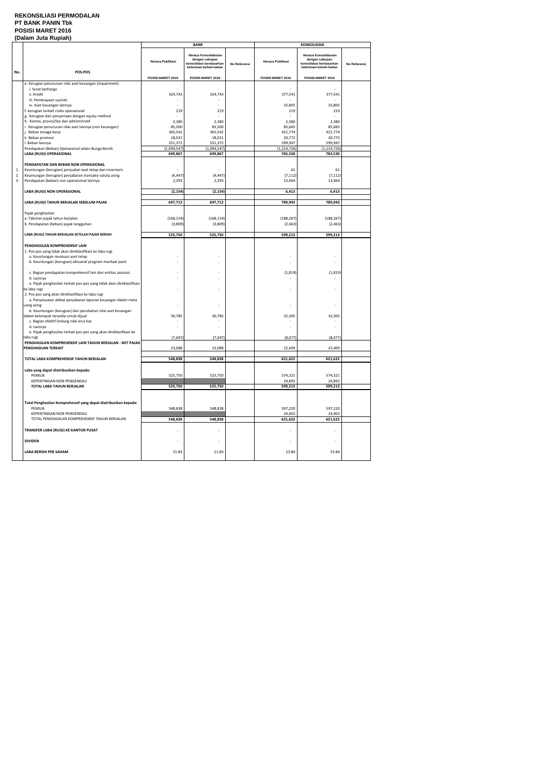#### **REKONSILIASI PERMODALAN PT BANK PANIN Tbk POSISI MARET 2016 (Dalam Juta Rupiah)**

|     |                                                                                          |                   | <b>BANK</b>                                                                                  |              |                   | <b>KONSOLIDASI</b>                                                                           |              |  |  |
|-----|------------------------------------------------------------------------------------------|-------------------|----------------------------------------------------------------------------------------------|--------------|-------------------|----------------------------------------------------------------------------------------------|--------------|--|--|
|     |                                                                                          | Neraca Publikasi  | Neraca Konsolidasian<br>dengan cakupan<br>konsolidasi berdasarkan<br>ketentuan kehati-hatian | No Referensi | Neraca Publikasi  | Neraca Konsolidasian<br>dengan cakupan<br>konsolidasi berdasarkan<br>ketentuan kehati-hatian | No Referensi |  |  |
| No. | POS-POS                                                                                  | POSISI MARET 2016 | POSISI MARET 2016                                                                            |              | POSISI MARET 2016 | POSISI MARET 2016                                                                            |              |  |  |
|     | e. Kerugian penurunan nilai aset keuangan (impairment)                                   |                   |                                                                                              |              |                   |                                                                                              |              |  |  |
|     | i. Surat berharga                                                                        |                   |                                                                                              |              |                   |                                                                                              |              |  |  |
|     | ii. Kredit<br>iii. Pembiayaan syariah                                                    | 324,743           | 324,743                                                                                      |              | 377,541           | 377,541                                                                                      |              |  |  |
|     | iv. Aset keuangan lainnya                                                                |                   |                                                                                              |              | 25,805            | 25,805                                                                                       |              |  |  |
|     | f. kerugian terkait risiko operasional                                                   | 219               | 219                                                                                          |              | 219               | 219                                                                                          |              |  |  |
|     | g. Kerugian dari penyertaan dengan equity method                                         |                   |                                                                                              |              |                   |                                                                                              |              |  |  |
|     | h. Komisi, provisi/fee dan administratif                                                 | 2,380             | 2,380                                                                                        |              | 2,380             | 2,380                                                                                        |              |  |  |
|     | i. Kerugian penurunan nilai aset lainnya (non keuangan)<br>j. Beban tenaga kerja         | 85,500<br>365,542 | 85,500<br>365,542                                                                            |              | 85,665<br>421,774 | 85,665<br>421,774                                                                            |              |  |  |
|     | k. Beban promosi                                                                         | 18,021            | 18,021                                                                                       |              | 20,772            | 20,772                                                                                       |              |  |  |
|     | I. Beban lainnya                                                                         | 551,372           | 551,372                                                                                      |              | 599,947           | 599,947                                                                                      |              |  |  |
|     | Pendapatan (Beban) Operasional selain Bunga Bersih                                       | (1,094,547)       | (1,094,547)                                                                                  |              | (1, 214, 726)     | (1, 214, 726)                                                                                |              |  |  |
|     | LABA (RUGI) OPERASIONAL                                                                  | 699,867           | 699,867                                                                                      |              | 783,530           | 783,530                                                                                      |              |  |  |
|     | PENDAPATAN DAN BEBAN NON OPERASIONAL                                                     |                   |                                                                                              |              |                   |                                                                                              |              |  |  |
| 1.  | Keuntungan (kerugian) penjualan aset tetap dan inventaris                                |                   |                                                                                              |              | 61                | 61                                                                                           |              |  |  |
| 2.  | Keuntungan (kerugian) penjabaran transaksi valuta asing                                  | (4, 447)          | (4, 447)                                                                                     |              | (7, 112)          | (7, 112)                                                                                     |              |  |  |
| 3.  | Pendapatan (beban) non operasional lainnya                                               | 2,293             | 2,293                                                                                        |              | 13,464            | 13,464                                                                                       |              |  |  |
|     | LABA (RUGI) NON OPERASIONAL                                                              | (2, 154)          | (2, 154)                                                                                     |              | 6,413             | 6,413                                                                                        |              |  |  |
|     |                                                                                          |                   |                                                                                              |              |                   |                                                                                              |              |  |  |
|     | LABA (RUGI) TAHUN BERJALAN SEBELUM PAJAK                                                 | 697,713           | 697,713                                                                                      |              | 789,943           | 789,943                                                                                      |              |  |  |
|     | Pajak penghasilan                                                                        |                   |                                                                                              |              |                   |                                                                                              |              |  |  |
|     | a. Taksiran pajak tahun berjalan                                                         | (168, 154)        | (168, 154)                                                                                   |              | (188, 267)        | (188, 267)                                                                                   |              |  |  |
|     | b. Pendapatan (beban) pajak tangguhan                                                    | (3,809)           | (3,809)                                                                                      |              | (2, 463)          | (2, 463)                                                                                     |              |  |  |
|     | LABA (RUGI) TAHUN BERJALAN SETELAH PAJAK BERSIH                                          | 525,750           | 525,750                                                                                      |              | 599,213           | 599,213                                                                                      |              |  |  |
|     |                                                                                          |                   |                                                                                              |              |                   |                                                                                              |              |  |  |
|     | PENGHASILAN KOMPREHENSIF LAIN<br>1. Pos-pos yang tidak akan direklasifikasi ke laba rugi |                   |                                                                                              |              |                   |                                                                                              |              |  |  |
|     | a. Keuntungan revaluasi aset tetap                                                       |                   |                                                                                              |              |                   |                                                                                              |              |  |  |
|     | b. Keuntungan (kerugian) aktuarial program manfaat pasti                                 |                   |                                                                                              |              |                   |                                                                                              |              |  |  |
|     | c. Bagian pendapatan komprehensif lain dari entitas asosiasi                             |                   |                                                                                              |              | (1, 819)          | (1, 819)                                                                                     |              |  |  |
|     | d. Lainnya                                                                               |                   |                                                                                              |              |                   |                                                                                              |              |  |  |
|     | e. Pajak penghasilan terkait pos-pos yang tidak akan direklasifikasi                     |                   |                                                                                              |              |                   |                                                                                              |              |  |  |
|     | ke laba rugi<br>2. Pos-pos yang akan direklasifikasi ke laba rugi                        |                   |                                                                                              |              |                   |                                                                                              |              |  |  |
|     | a. Penyesuaian akibat penjabaran laporan keuangan dalam mata                             |                   |                                                                                              |              |                   |                                                                                              |              |  |  |
|     | uang asing                                                                               |                   |                                                                                              |              |                   |                                                                                              |              |  |  |
|     | b. Keuntungan (kerugian) dari perubahan nilai aset keuangan                              |                   |                                                                                              |              |                   |                                                                                              |              |  |  |
|     | dalam kelompok tersedia untuk dijual<br>c. Bagian efektif lindung nilai arus kas         | 30,785            | 30,785                                                                                       |              | 32,305            | 32,305                                                                                       |              |  |  |
|     | d. Lainnya                                                                               |                   |                                                                                              |              |                   |                                                                                              |              |  |  |
|     | e. Pajak penghasilan terkait pos-pos yang akan direklasifikasi ke                        |                   |                                                                                              |              |                   |                                                                                              |              |  |  |
|     | laba rugi                                                                                | (7,697)           | (7,697)                                                                                      |              | (8,077)           | (8,077)                                                                                      |              |  |  |
|     | PENGHASILAN KOMPREHENSIF LAIN TAHUN BERJALAN - NET PAJAK<br>PENGHASILAN TERKAIT          | 23,088            | 23,088                                                                                       |              | 22,409            | 22,409                                                                                       |              |  |  |
|     |                                                                                          |                   |                                                                                              |              |                   |                                                                                              |              |  |  |
|     | TOTAL LABA KOMPREHENSIF TAHUN BERJALAN                                                   | 548,838           | 548,838                                                                                      |              | 621,622           | 621,622                                                                                      |              |  |  |
|     | Laba yang dapat diatribusikan kepada:                                                    |                   |                                                                                              |              |                   |                                                                                              |              |  |  |
|     | <b>PEMILIK</b>                                                                           | 525,750           | 525,750                                                                                      |              | 574,321           | 574,321                                                                                      |              |  |  |
|     | KEPENTINGAN NON PENGENDALI<br>TOTAL LABA TAHUN BERJALAN                                  |                   |                                                                                              |              | 24,892            | 24,892                                                                                       |              |  |  |
|     |                                                                                          | 525,750           | 525,750                                                                                      |              | 599,213           | 599,213                                                                                      |              |  |  |
|     |                                                                                          |                   |                                                                                              |              |                   |                                                                                              |              |  |  |
|     | Total Penghasilan Komprehensif yang dapat diatribusikan kepada:                          |                   |                                                                                              |              |                   |                                                                                              |              |  |  |
|     | <b>PEMILIK</b>                                                                           | 548,838           | 548,838                                                                                      |              | 597,220           | 597,220                                                                                      |              |  |  |
|     | KEPENTINGAN NON PENGENDALI<br>TOTAL PENGHASILAN KOMPREHENSIF TAHUN BERJALAN              | 548,838           | 548,838                                                                                      |              | 24,402<br>621,622 | 24,402<br>621,622                                                                            |              |  |  |
|     |                                                                                          |                   |                                                                                              |              |                   |                                                                                              |              |  |  |
|     | TRANSFER LABA (RUGI) KE KANTOR PUSAT                                                     |                   |                                                                                              |              |                   |                                                                                              |              |  |  |
|     | <b>DIVIDEN</b>                                                                           | $\overline{a}$    |                                                                                              |              |                   |                                                                                              |              |  |  |
|     |                                                                                          |                   |                                                                                              |              |                   |                                                                                              |              |  |  |
|     | LABA BERSIH PER SAHAM                                                                    | 21.83             | 21.83                                                                                        |              | 23.84             | 23.84                                                                                        |              |  |  |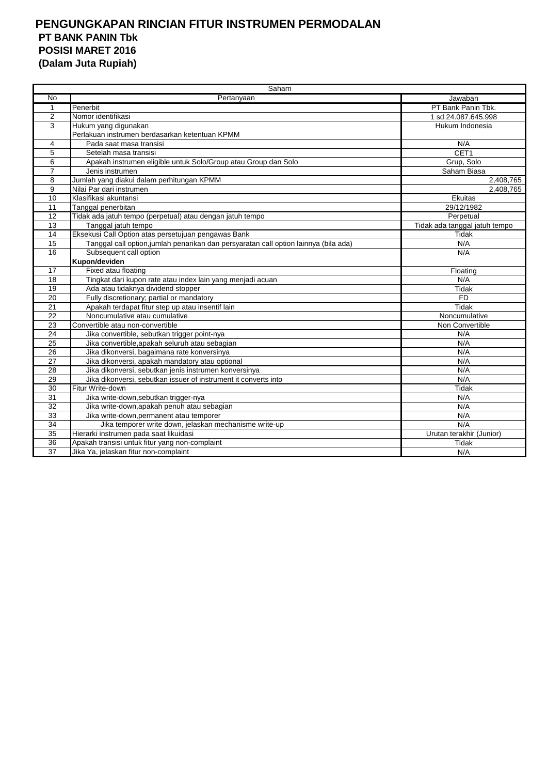## **PENGUNGKAPAN RINCIAN FITUR INSTRUMEN PERMODALAN PT BANK PANIN Tbk POSISI MARET 2016 (Dalam Juta Rupiah)**

|                 | Saham                                                                                |                               |  |  |  |  |
|-----------------|--------------------------------------------------------------------------------------|-------------------------------|--|--|--|--|
| <b>No</b>       | Pertanyaan                                                                           | Jawaban                       |  |  |  |  |
| $\mathbf{1}$    | Penerbit                                                                             | PT Bank Panin Tbk.            |  |  |  |  |
| $\overline{2}$  | Nomor identifikasi                                                                   | 1 sd 24.087.645.998           |  |  |  |  |
| 3               | Hukum yang digunakan                                                                 | Hukum Indonesia               |  |  |  |  |
|                 | Perlakuan instrumen berdasarkan ketentuan KPMM                                       |                               |  |  |  |  |
| 4               | Pada saat masa transisi                                                              | N/A                           |  |  |  |  |
| 5               | Setelah masa transisi                                                                | CET1                          |  |  |  |  |
| 6               | Apakah instrumen eligible untuk Solo/Group atau Group dan Solo                       | Grup, Solo                    |  |  |  |  |
| $\overline{7}$  | Jenis instrumen                                                                      | Saham Biasa                   |  |  |  |  |
| 8               | Jumlah yang diakui dalam perhitungan KPMM                                            | 2,408,765                     |  |  |  |  |
| 9               | Nilai Par dari instrumen                                                             | 2,408,765                     |  |  |  |  |
| 10              | Klasifikasi akuntansi                                                                | Ekuitas                       |  |  |  |  |
| 11              | Tanggal penerbitan                                                                   | 29/12/1982                    |  |  |  |  |
| 12              | Tidak ada jatuh tempo (perpetual) atau dengan jatuh tempo                            | Perpetual                     |  |  |  |  |
| 13              | Tanggal jatuh tempo                                                                  | Tidak ada tanggal jatuh tempo |  |  |  |  |
| 14              | Eksekusi Call Option atas persetujuan pengawas Bank                                  | Tidak                         |  |  |  |  |
| 15              | Tanggal call option, jumlah penarikan dan persyaratan call option lainnya (bila ada) | N/A                           |  |  |  |  |
| 16              | Subsequent call option                                                               | N/A                           |  |  |  |  |
|                 | Kupon/deviden                                                                        |                               |  |  |  |  |
| 17              | Fixed atau floating                                                                  | Floating                      |  |  |  |  |
| $\overline{18}$ | Tingkat dari kupon rate atau index lain yang menjadi acuan                           | N/A                           |  |  |  |  |
| 19              | Ada atau tidaknya dividend stopper                                                   | Tidak                         |  |  |  |  |
| 20              | Fully discretionary; partial or mandatory                                            | <b>FD</b>                     |  |  |  |  |
| 21              | Apakah terdapat fitur step up atau insentif lain                                     | Tidak                         |  |  |  |  |
| 22              | Noncumulative atau cumulative                                                        | Noncumulative                 |  |  |  |  |
| $\overline{23}$ | Convertible atau non-convertible                                                     | Non Convertible               |  |  |  |  |
| 24              | Jika convertible, sebutkan trigger point-nya                                         | N/A                           |  |  |  |  |
| 25              | Jika convertible, apakah seluruh atau sebagian                                       | N/A                           |  |  |  |  |
| 26              | Jika dikonversi, bagaimana rate konversinya                                          | N/A                           |  |  |  |  |
| 27              | Jika dikonversi, apakah mandatory atau optional                                      | N/A                           |  |  |  |  |
| 28              | Jika dikonversi, sebutkan jenis instrumen konversinya                                | N/A                           |  |  |  |  |
| 29              | Jika dikonversi, sebutkan issuer of instrument it converts into                      | N/A                           |  |  |  |  |
| $\overline{30}$ | Fitur Write-down                                                                     | <b>Tidak</b>                  |  |  |  |  |
| $\overline{31}$ | Jika write-down, sebutkan trigger-nya                                                | N/A                           |  |  |  |  |
| 32              | Jika write-down, apakah penuh atau sebagian                                          | N/A                           |  |  |  |  |
| 33              | Jika write-down, permanent atau temporer                                             | N/A                           |  |  |  |  |
| $\overline{34}$ | Jika temporer write down, jelaskan mechanisme write-up                               | N/A                           |  |  |  |  |
| $\overline{35}$ | Hierarki instrumen pada saat likuidasi                                               | Urutan terakhir (Junior)      |  |  |  |  |
| 36              | Apakah transisi untuk fitur yang non-complaint                                       | Tidak                         |  |  |  |  |
| 37              | Jika Ya, jelaskan fitur non-complaint                                                | N/A                           |  |  |  |  |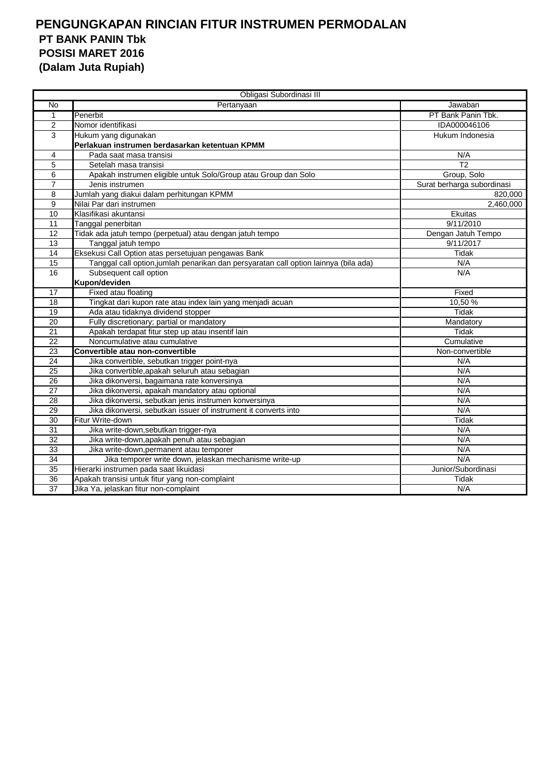## **PENGUNGKAPAN RINCIAN FITUR INSTRUMEN PERMODALAN PT BANK PANIN Tbk POSISI MARET 2016 (Dalam Juta Rupiah)**

|                 | Obligasi Subordinasi III                                                             |                            |
|-----------------|--------------------------------------------------------------------------------------|----------------------------|
| No              | Pertanyaan                                                                           | Jawaban                    |
| $\mathbf{1}$    | Penerbit                                                                             | PT Bank Panin Tbk.         |
| $\overline{2}$  | Nomor identifikasi                                                                   | IDA000046106               |
| 3               | Hukum yang digunakan                                                                 | Hukum Indonesia            |
|                 | Perlakuan instrumen berdasarkan ketentuan KPMM                                       |                            |
| 4               | Pada saat masa transisi                                                              | N/A                        |
| $\overline{5}$  | Setelah masa transisi                                                                | $\overline{12}$            |
| 6               | Apakah instrumen eligible untuk Solo/Group atau Group dan Solo                       | Group, Solo                |
| $\overline{7}$  | Jenis instrumen                                                                      | Surat berharga subordinasi |
| 8               | Jumlah yang diakui dalam perhitungan KPMM                                            | 820,000                    |
| 9               | Nilai Par dari instrumen                                                             | 2,460,000                  |
| 10              | Klasifikasi akuntansi                                                                | Ekuitas                    |
| $\overline{11}$ | Tanggal penerbitan                                                                   | 9/11/2010                  |
| 12              | Tidak ada jatuh tempo (perpetual) atau dengan jatuh tempo                            | Dengan Jatuh Tempo         |
| 13              | Tanggal jatuh tempo                                                                  | 9/11/2017                  |
| 14              | Eksekusi Call Option atas persetujuan pengawas Bank                                  | <b>Tidak</b>               |
| 15              | Tanggal call option, jumlah penarikan dan persyaratan call option lainnya (bila ada) | N/A                        |
| 16              | Subsequent call option                                                               | N/A                        |
|                 | Kupon/deviden                                                                        |                            |
| 17              | Fixed atau floating                                                                  | Fixed                      |
| 18              | Tingkat dari kupon rate atau index lain yang menjadi acuan                           | 10,50%                     |
| 19              | Ada atau tidaknya dividend stopper                                                   | <b>Tidak</b>               |
| 20              | Fully discretionary; partial or mandatory                                            | Mandatory                  |
| 21              | Apakah terdapat fitur step up atau insentif lain                                     | Tidak                      |
| 22              | Noncumulative atau cumulative                                                        | Cumulative                 |
| 23              | Convertible atau non-convertible                                                     | Non-convertible            |
| $\overline{24}$ | Jika convertible, sebutkan trigger point-nya                                         | N/A                        |
| 25              | Jika convertible, apakah seluruh atau sebagian                                       | N/A                        |
| 26              | Jika dikonversi, bagaimana rate konversinya                                          | N/A                        |
| 27              | Jika dikonversi, apakah mandatory atau optional                                      | N/A                        |
| 28              | Jika dikonversi, sebutkan jenis instrumen konversinya                                | N/A                        |
| 29              | Jika dikonversi, sebutkan issuer of instrument it converts into                      | N/A                        |
| $\overline{30}$ | Fitur Write-down                                                                     | <b>Tidak</b>               |
| 31              | Jika write-down, sebutkan trigger-nya                                                | N/A                        |
| $\overline{32}$ | Jika write-down, apakah penuh atau sebagian                                          | N/A                        |
| 33              | Jika write-down, permanent atau temporer                                             | N/A                        |
| $\overline{34}$ | Jika temporer write down, jelaskan mechanisme write-up                               | N/A                        |
| 35              | Hierarki instrumen pada saat likuidasi                                               | Junior/Subordinasi         |
| 36              | Apakah transisi untuk fitur yang non-complaint                                       | Tidak                      |
| 37              | Jika Ya, jelaskan fitur non-complaint                                                | N/A                        |